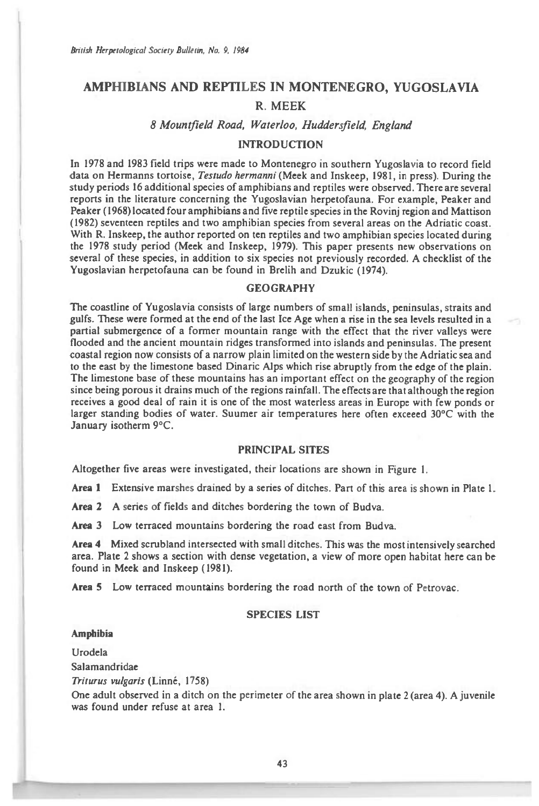# **AMPHIBIANS AND REPTILES IN MONTENEGRO, YUGOSLAVIA R. MEEK**

## *8 Mountfield Road, Waterloo, Huddersfield, England*

## INTRODUCTION

In 1978 and 1983 field trips were made to Montenegro in southern Yugoslavia to record field data on Hermanns tortoise, *Testudo hermanni* (Meek and Inskeep, 1981, in press). During the study periods 16 additional species of amphibians and reptiles were observed. There are several reports in the literature concerning the Yugoslavian herpetofauna. For example, Peaker and Peaker (1968) located four amphibians and five reptile species in the Rovinj region and Mattison (1982) seventeen reptiles and two amphibian species from several areas on the Adriatic coast. With R. Inskeep, the author reported on ten reptiles and two amphibian species located during the 1978 study period (Meek and Inskeep, 1979). This paper presents new observations on several of these species, in addition to six species not previously recorded. A checklist of the Yugoslavian herpetofauna can be found in Brelih and Dzukic (1974).

### GEOGRAPHY

The coastline of Yugoslavia consists of large numbers of small islands, peninsulas, straits and gulfs. These were formed at the end of the last Ice Age when a rise in the sea levels resulted in a partial submergence of a former mountain range with the effect that the river valleys were flooded and the ancient mountain ridges transformed into islands and peninsulas. The present coastal region now consists of a narrow plain limited on the western side by the Adriatic sea and to the east by the limestone based Dinaric Alps which rise abruptly from the edge of the plain. The limestone base of these mountains has an important effect on the geography of the region since being porous it drains much of the regions rainfall. The effects are that although the region receives a good deal of rain it is one of the most waterless areas in Europe with few ponds or larger standing bodies of water. Suumer air temperatures here often exceeed 30°C with the January isotherm 9°C.

#### PRINCIPAL SITES

Altogether five areas were investigated, their locations are shown in Figure 1.

Area **1** Extensive marshes drained by a series of ditches. Part of this area is shown in Plate 1.

**Area 2** A series of fields and ditches bordering the town of Budva.

**Area** 3 Low terraced mountains bordering the road east from Budva.

**Area 4** Mixed scrubland intersected with small ditches. This was the most intensively searched area. Plate 2 shows a section with dense vegetation, a view of more open habitat here can be found in Meek and Inskeep (1981).

**Area 5** Low terraced mountains bordering the road north of the town of Petrovac.

## SPECIES LIST

#### **Amphibia**

Urodela Salamandridae

*Triturus vulgaris* (Linne, 1758)

One adult observed in a ditch on the perimeter of the area shown in plate 2 (area 4). A juvenile was found under refuse at area 1.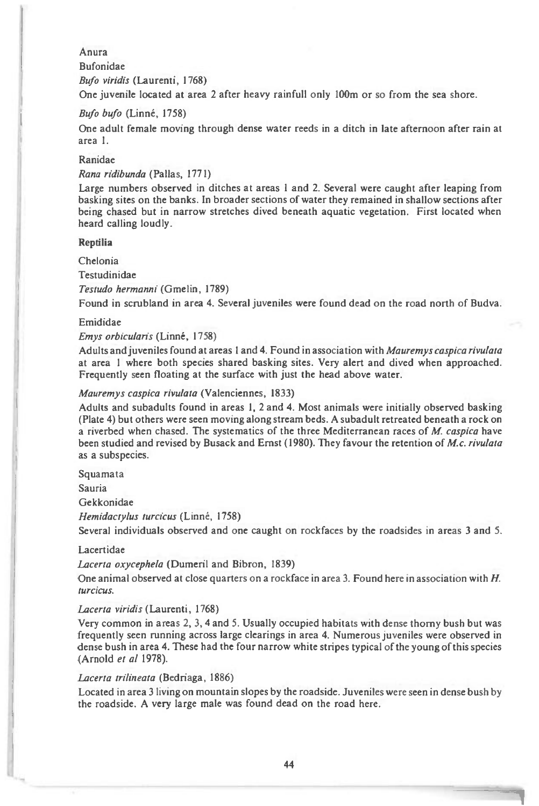## Anura

## Bufonidae

*Bufo viridis* (Laurenti, 1768)

One juvenile located at area 2 after heavy rainfull only 100m or so from the sea shore.

## *Bufo bufo* (Linné, 1758)

One adult female moving through dense water reeds in a ditch in late afternoon after rain at area 1.

## Ranidae

## *Rana ridibunda* (Pallas, 1771)

Large numbers observed in ditches at areas 1 and 2. Several were caught after leaping from basking sites on the banks. In broader sections of water they remained in shallow sections after being chased but in narrow stretches dived beneath aquatic vegetation. First located when heard calling loudly.

#### **Reptilia**

Chelonia

Testudinidae

## *Testudo hermanni* (Gmelin, 1789)

Found in scrubland in area 4. Several juveniles were found dead on the road north of Budva.

#### Emididae

#### *Emys orbicularis* (Linne, 1758)

Adults and juveniles found at areas 1 and 4. Found in association with *Mauremys caspica rivulata at area 1* where both species shared basking sites. Very alert and dived when approached. Frequently seen floating at the surface with just the head above water.

### *Mauremys caspica rivulata* (Valenciennes, 1833)

Adults and subadults found in areas 1, 2 and 4. Most animals were initially observed basking (Plate 4) but others were seen moving along stream beds. A subadult retreated beneath a rock on a riverbed when chased. The systematics of the three Mediterranean races of *M. caspica* have been studied and revised by Busack and Ernst (1980). They favour the retention of *M.c. rivulata as a* subspecies.

Squamata

Sauria

Gekkonidae

*Hemidactylus turcicus* (Linné, 1758)

Several individuals observed and one caught on rockfaces by the roadsides in areas 3 and 5.

#### Lacertidae

#### *Lacerta oxycephela* (Dumeril and Bibron, 1839)

One animal observed at close quarters on a rockface in area 3. Found here in association with *H. turcicus.* 

#### *Lacerta viridis* (Laurenti, 1768)

Very common in areas 2, 3, 4 and 5. Usually occupied habitats with dense thorny bush but was frequently seen running across large clearings in area 4. Numerous juveniles were observed in dense bush in area 4. These had the four narrow white stripes typical of the young of this species (Arnold *et al* 1978).

#### *Lacerta trilineata* (Bedriaga, 1886)

Located in area 3 living on mountain slopes by the roadside. Juveniles were seen in dense bush by the roadside. A very large male was found dead on the road here.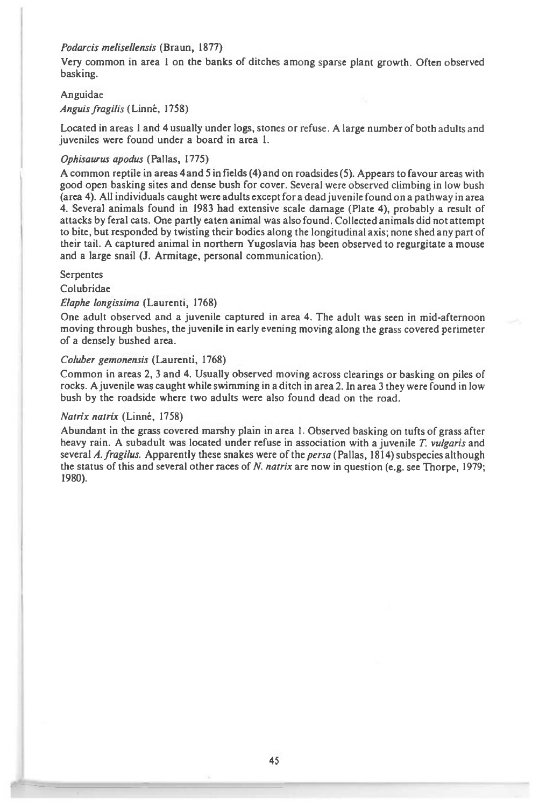## *Podarcis melisellensis* (Braun, 1877)

Very common in area 1 on the banks of ditches among sparse plant growth. Often observed basking.

#### Anguidae

*Anguis fragilis* (Linne, 1758)

Located in areas 1 and 4 usually under logs, stones or refuse. A large number of both adults and juveniles were found under a board in area *1.* 

#### *Ophisaurus apodus* (Pallas, 1775)

A common reptile in areas 4 and 5 in fields (4) and on roadsides (5). Appears to favour areas with good open basking sites and dense bush for cover. Several were observed climbing in low bush (area 4). All individuals caught were adults except for a dead juvenile found on a pathway in area 4. Several animals found in 1983 had extensive scale damage (Plate 4), probably a result of attacks by feral cats. One partly eaten animal was also found. Collected animals did not attempt to bite, but responded by twisting their bodies along the longitudinal axis; none shed any part of their tail. A captured animal in northern Yugoslavia has been observed to regurgitate a mouse and a large snail (J. Armitage, personal communication).

### Serpentes

**Colubridae** 

## *Elaphe longissima* (Laurenti, 1768)

One adult observed and a juvenile captured in area 4. The adult was seen in mid-afternoon moving through bushes, the juvenile in early evening moving along the grass covered perimeter of a densely bushed area.

### *Coluber gemonensis* (Laurenti, 1768)

Common in areas 2, 3 and 4. Usually observed moving across clearings or basking on piles of rocks. A juvenile was caught while swimming in a ditch in area 2. In area 3 they were found in low bush by the roadside where two adults were also found dead on the road.

#### *Natrix natrix* (Linne, 1758)

Abundant in the grass covered marshy plain in area 1. Observed basking on tufts of grass after heavy rain. A subadult was located under refuse in association with a juvenile *T. vulgaris* and several *A. fragdus.* Apparently these snakes were of the *persa (Pallas,* 1814) subspecies although the status of this and several other races of *N. natrix* are now in question (e.g. see Thorpe, 1979; 1980).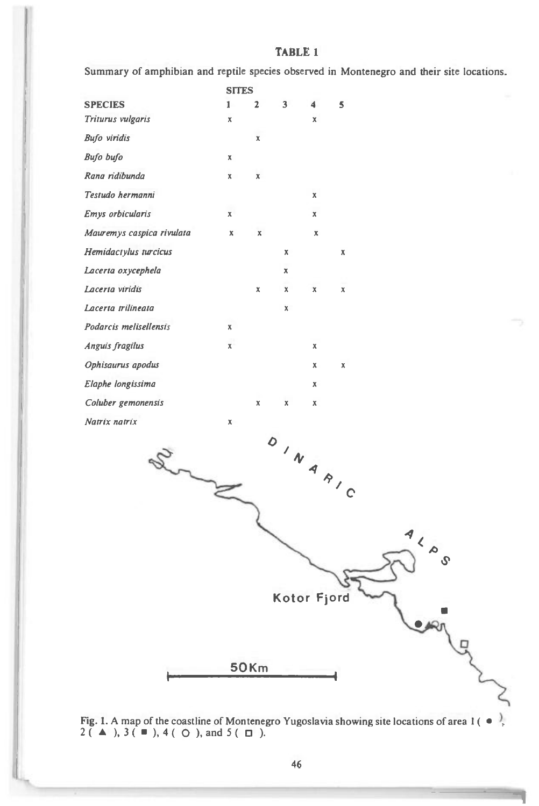## **TABLE 1**

Summary of amphibian and reptile species observed in Montenegro and their site locations.

|                              |              | <b>SITES</b> |                    |             |   |  |
|------------------------------|--------------|--------------|--------------------|-------------|---|--|
| <b>SPECIES</b>               | $\mathbf{1}$ | $\mathbf 2$  | 3 <sup>7</sup>     | 4           | 5 |  |
| Triturus vulgaris            | X            |              |                    | $\mathbb X$ |   |  |
| <b>Bufo</b> viridis          |              | $\mathbb X$  |                    |             |   |  |
| Bufo bufo                    | X            |              |                    |             |   |  |
| Rana ridibunda               | x            | $\mathsf X$  |                    |             |   |  |
| Testudo hermanni             |              |              |                    | x           |   |  |
| Emys orbicularis             | $\mathbf x$  |              |                    | x           |   |  |
| Mauremys caspica rivulata    | X            | x            |                    | X           |   |  |
| Hemidactylus turcicus        |              |              | x                  |             | x |  |
| Lacerta oxycephela           |              |              | $\pmb{\mathsf{x}}$ |             |   |  |
| Lacerta viridis              |              | X            | x                  | x           | X |  |
| Lacerta trilineata           |              |              | X                  |             |   |  |
| Podarcis melisellensis       | x            |              |                    |             |   |  |
| Anguis fragilus              | x            |              |                    | x           |   |  |
| Ophisaurus apodus            |              |              |                    | х           | X |  |
| Elaphe longissima            |              |              |                    | x           |   |  |
| Coluber gemonensis           |              | X            | x                  | x           |   |  |
| Natrix natrix                | x            |              |                    |             |   |  |
| ALAS<br>Kotor Fjord<br>Learn |              |              |                    |             |   |  |
|                              | <b>50Km</b>  |              |                    |             |   |  |
|                              |              |              |                    |             |   |  |



ζ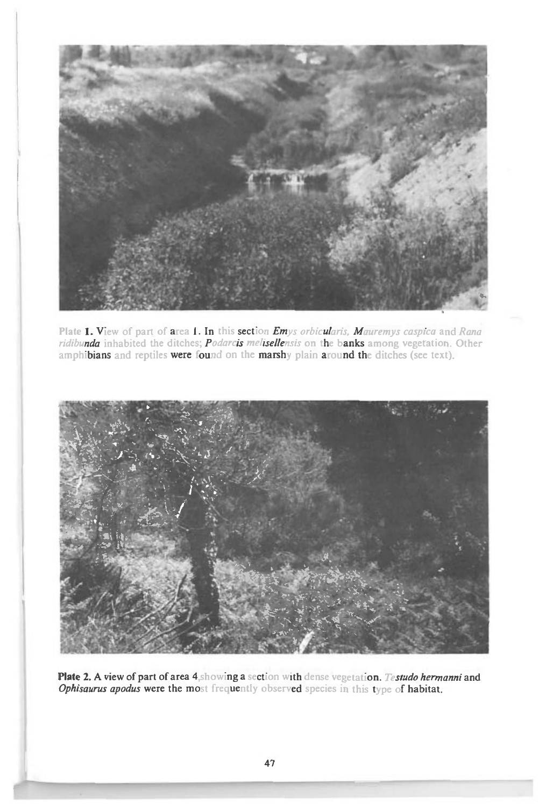

Plate 1. View of part of area 1. In this section *Emys orbicularis, Mauremys caspica* and *Rana ridibunda* inhabited the ditches; *Podarcis melisellensis* on the banks among vegetation. Other amphibians and reptiles were found on the marshy plain around the ditches (see text).



Plate 2. A view of part of area 4,showing a section with dense vegetation. *Testudo hermanni* and Ophisaurus apodus were the most frequently observed species in this type of habitat.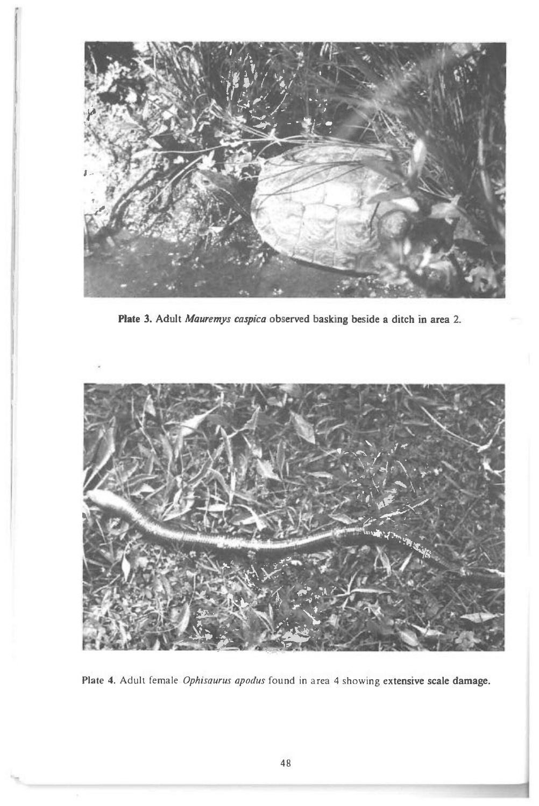

e

**Plate 3. Adult Mauremys** *caspica* **observed basking beside a ditch in area 2.** 



**Plate 4.** Adult female *Ophisaurus apodus* found in area 4 showing **extensive scale damage.**